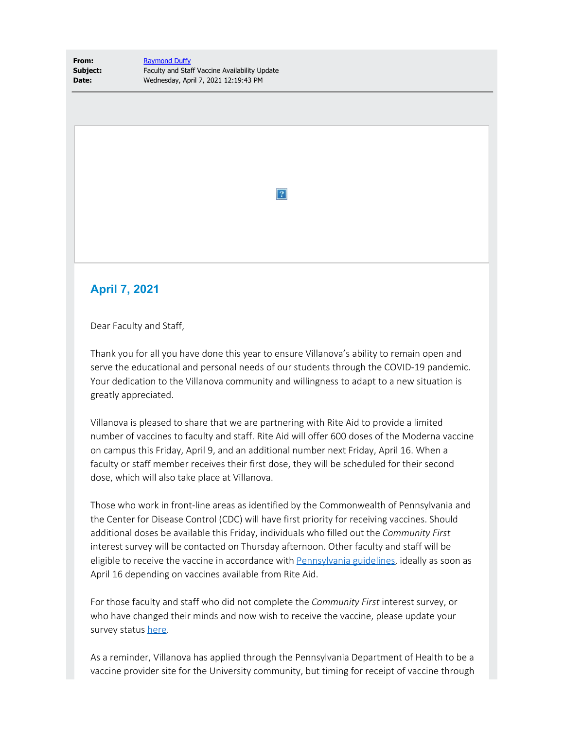**From:** [Raymond Duffy](mailto:raymond.duffy@villanova.edu) **Subject:** Faculty and Staff Vaccine Availability Update **Date:** Wednesday, April 7, 2021 12:19:43 PM

## **April 7, 2021**

Dear Faculty and Staff,

Thank you for all you have done this year to ensure Villanova's ability to remain open and serve the educational and personal needs of our students through the COVID-19 pandemic. Your dedication to the Villanova community and willingness to adapt to a new situation is greatly appreciated.

 $|2|$ 

Villanova is pleased to share that we are partnering with Rite Aid to provide a limited number of vaccines to faculty and staff. Rite Aid will offer 600 doses of the Moderna vaccine on campus this Friday, April 9, and an additional number next Friday, April 16. When a faculty or staff member receives their first dose, they will be scheduled for their second dose, which will also take place at Villanova.

Those who work in front-line areas as identified by the Commonwealth of Pennsylvania and the Center for Disease Control (CDC) will have first priority for receiving vaccines. Should additional doses be available this Friday, individuals who filled out the *Community First* interest survey will be contacted on Thursday afternoon. Other faculty and staff will be eligible to receive the vaccine in accordance with [Pennsylvania guidelines](https://nam04.safelinks.protection.outlook.com/?url=https%3A%2F%2Fwww.health.pa.gov%2Ftopics%2Fdisease%2Fcoronavirus%2FVaccine%2FPages%2FVaccine.aspx&data=04%7C01%7Ctimothy.bair%40villanova.edu%7C933623751e2748604e6d08d8f9e0b4a9%7C765a8de5cf9444f09cafae5bf8cfa366%7C0%7C0%7C637534091831953472%7CUnknown%7CTWFpbGZsb3d8eyJWIjoiMC4wLjAwMDAiLCJQIjoiV2luMzIiLCJBTiI6Ik1haWwiLCJXVCI6Mn0%3D%7C1000&sdata=n4CKHELk%2F1ubnA%2Fa1fwhk4O4FcPftNdYw8LILiWrRdU%3D&reserved=0), ideally as soon as April 16 depending on vaccines available from Rite Aid.

For those faculty and staff who did not complete the *Community First* interest survey, or who have changed their minds and now wish to receive the vaccine, please update your survey status [here.](https://nam04.safelinks.protection.outlook.com/?url=https%3A%2F%2Fforms.office.com%2FPages%2FResponsePage.aspx%3Fid%3D5Y1adpTP8EScr65b-M-jZhvoVi3wu-xGhqUa8XIdPilUQjBLWUhZQ1JXNDNZOFhOQUtRNEFYU1BFMi4u&data=04%7C01%7Ctimothy.bair%40villanova.edu%7C933623751e2748604e6d08d8f9e0b4a9%7C765a8de5cf9444f09cafae5bf8cfa366%7C0%7C0%7C637534091831963465%7CUnknown%7CTWFpbGZsb3d8eyJWIjoiMC4wLjAwMDAiLCJQIjoiV2luMzIiLCJBTiI6Ik1haWwiLCJXVCI6Mn0%3D%7C1000&sdata=ChTLs7jToddvbo2o%2FhME4NuAxkTNmIiqQs4jQlvcm2E%3D&reserved=0)

As a reminder, Villanova has applied through the Pennsylvania Department of Health to be a vaccine provider site for the University community, but timing for receipt of vaccine through